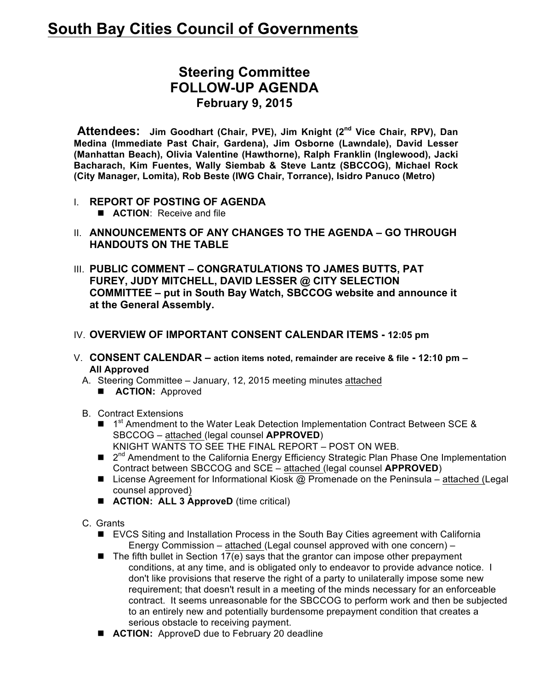# **South Bay Cities Council of Governments**

# **Steering Committee FOLLOW-UP AGENDA February 9, 2015**

**Attendees:** Jim Goodhart (Chair, PVE), Jim Knight (2<sup>nd</sup> Vice Chair, RPV), Dan **Medina (Immediate Past Chair, Gardena), Jim Osborne (Lawndale), David Lesser (Manhattan Beach), Olivia Valentine (Hawthorne), Ralph Franklin (Inglewood), Jacki Bacharach, Kim Fuentes, Wally Siembab & Steve Lantz (SBCCOG), Michael Rock (City Manager, Lomita), Rob Beste (IWG Chair, Torrance), Isidro Panuco (Metro)**

- I. **REPORT OF POSTING OF AGENDA**
	- **E ACTION:** Receive and file
- II. **ANNOUNCEMENTS OF ANY CHANGES TO THE AGENDA – GO THROUGH HANDOUTS ON THE TABLE**
- III. **PUBLIC COMMENT – CONGRATULATIONS TO JAMES BUTTS, PAT FUREY, JUDY MITCHELL, DAVID LESSER @ CITY SELECTION COMMITTEE – put in South Bay Watch, SBCCOG website and announce it at the General Assembly.**
- IV. **OVERVIEW OF IMPORTANT CONSENT CALENDAR ITEMS - 12:05 pm**
- V. **CONSENT CALENDAR – action items noted, remainder are receive & file - 12:10 pm – All Approved**
	- A. Steering Committee January, 12, 2015 meeting minutes attached
		- **E ACTION:** Approved
	- B. Contract Extensions
		- $\blacksquare$  1<sup>st</sup> Amendment to the Water Leak Detection Implementation Contract Between SCE & SBCCOG – attached (legal counsel **APPROVED**) KNIGHT WANTS TO SEE THE FINAL REPORT – POST ON WEB.
		- $\Box$  2<sup>nd</sup> Amendment to the California Energy Efficiency Strategic Plan Phase One Implementation Contract between SBCCOG and SCE – attached (legal counsel **APPROVED**)
		- E License Agreement for Informational Kiosk  $\omega$  Promenade on the Peninsula attached (Legal counsel approved)
		- **ACTION: ALL 3 ApproveD** (time critical)
	- C. Grants
		- EVCS Siting and Installation Process in the South Bay Cities agreement with California Energy Commission – attached (Legal counsel approved with one concern) –
		- $\blacksquare$  The fifth bullet in Section 17(e) says that the grantor can impose other prepayment conditions, at any time, and is obligated only to endeavor to provide advance notice. I don't like provisions that reserve the right of a party to unilaterally impose some new requirement; that doesn't result in a meeting of the minds necessary for an enforceable contract. It seems unreasonable for the SBCCOG to perform work and then be subjected to an entirely new and potentially burdensome prepayment condition that creates a serious obstacle to receiving payment.
		- **ACTION:** ApproveD due to February 20 deadline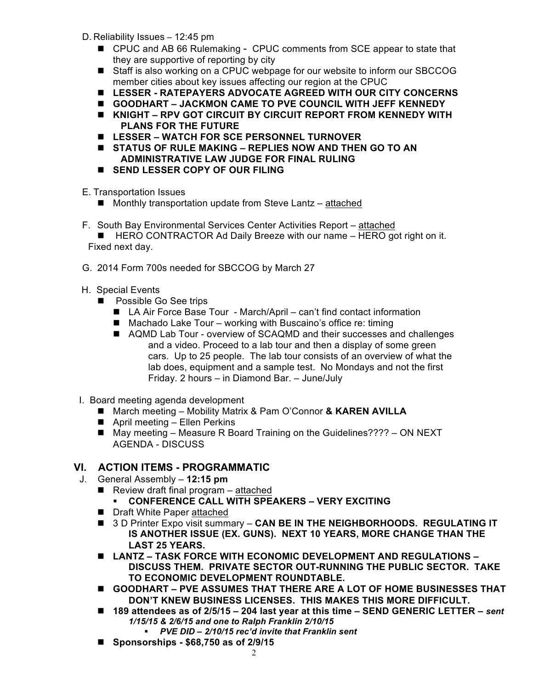- D. Reliability Issues 12:45 pm
	- CPUC and AB 66 Rulemaking CPUC comments from SCE appear to state that they are supportive of reporting by city
	- Staff is also working on a CPUC webpage for our website to inform our SBCCOG member cities about key issues affecting our region at the CPUC
	- n **LESSER - RATEPAYERS ADVOCATE AGREED WITH OUR CITY CONCERNS**
	- **GOODHART JACKMON CAME TO PVE COUNCIL WITH JEFF KENNEDY**
	- KNIGHT RPV GOT CIRCUIT BY CIRCUIT REPORT FROM KENNEDY WITH **PLANS FOR THE FUTURE**
	- LESSER WATCH FOR SCE PERSONNEL TURNOVER
	- STATUS OF RULE MAKING REPLIES NOW AND THEN GO TO AN **ADMINISTRATIVE LAW JUDGE FOR FINAL RULING**
	- **N** SEND LESSER COPY OF OUR FILING
- E. Transportation Issues
	- $\blacksquare$  Monthly transportation update from Steve Lantz attached
- F. South Bay Environmental Services Center Activities Report attached
	- $\blacksquare$  HERO CONTRACTOR Ad Daily Breeze with our name  $-$  HERO got right on it. Fixed next day.
- G. 2014 Form 700s needed for SBCCOG by March 27
- H. Special Events
	- **n** Possible Go See trips
		- LA Air Force Base Tour March/April can't find contact information
		- $\blacksquare$  Machado Lake Tour working with Buscaino's office re: timing
		- AQMD Lab Tour overview of SCAQMD and their successes and challenges and a video. Proceed to a lab tour and then a display of some green cars. Up to 25 people. The lab tour consists of an overview of what the lab does, equipment and a sample test. No Mondays and not the first Friday. 2 hours – in Diamond Bar. – June/July
- I. Board meeting agenda development
	- March meeting Mobility Matrix & Pam O'Connor & KAREN AVILLA
	- $\blacksquare$  April meeting Ellen Perkins
	- May meeting Measure R Board Training on the Guidelines???? ON NEXT AGENDA - DISCUSS

#### **VI. ACTION ITEMS - PROGRAMMATIC**

- J. General Assembly **12:15 pm**
	- $\blacksquare$  Review draft final program attached
		- § **CONFERENCE CALL WITH SPEAKERS – VERY EXCITING**
	- Draft White Paper attached
	- 3 D Printer Expo visit summary CAN BE IN THE NEIGHBORHOODS. REGULATING IT **IS ANOTHER ISSUE (EX. GUNS). NEXT 10 YEARS, MORE CHANGE THAN THE LAST 25 YEARS.**
	- LANTZ TASK FORCE WITH ECONOMIC DEVELOPMENT AND REGULATIONS -**DISCUSS THEM. PRIVATE SECTOR OUT-RUNNING THE PUBLIC SECTOR. TAKE TO ECONOMIC DEVELOPMENT ROUNDTABLE.**
	- GOODHART PVE ASSUMES THAT THERE ARE A LOT OF HOME BUSINESSES THAT **DON'T KNEW BUSINESS LICENSES. THIS MAKES THIS MORE DIFFICULT.**
	- 189 attendees as of 2/5/15 204 last year at this time SEND GENERIC LETTER sent *1/15/15 & 2/6/15 and one to Ralph Franklin 2/10/15*
		- § *PVE DID – 2/10/15 rec'd invite that Franklin sent*
	- Sponsorships \$68,750 as of 2/9/15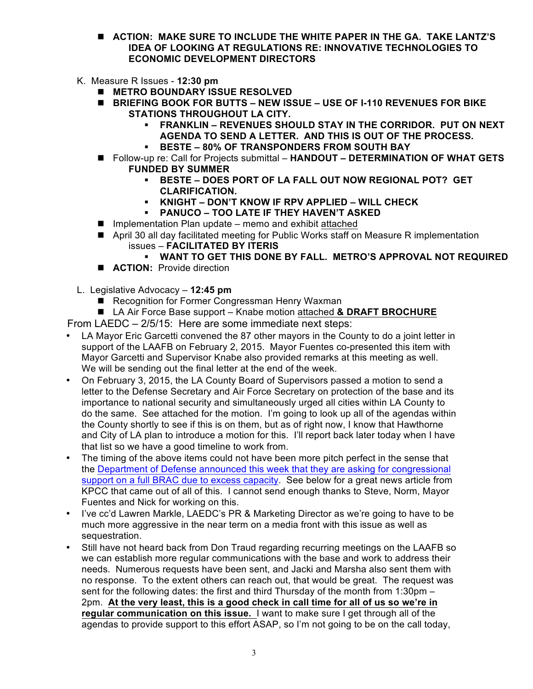- n **ACTION: MAKE SURE TO INCLUDE THE WHITE PAPER IN THE GA. TAKE LANTZ'S IDEA OF LOOKING AT REGULATIONS RE: INNOVATIVE TECHNOLOGIES TO ECONOMIC DEVELOPMENT DIRECTORS**
- K. Measure R Issues **12:30 pm**
	- **NETRO BOUNDARY ISSUE RESOLVED**
	- BRIEFING BOOK FOR BUTTS NEW ISSUE USE OF I-110 REVENUES FOR BIKE **STATIONS THROUGHOUT LA CITY.**
		- § **FRANKLIN – REVENUES SHOULD STAY IN THE CORRIDOR. PUT ON NEXT AGENDA TO SEND A LETTER. AND THIS IS OUT OF THE PROCESS.**
		- § **BESTE – 80% OF TRANSPONDERS FROM SOUTH BAY**
	- Follow-up re: Call for Projects submittal HANDOUT DETERMINATION OF WHAT GETS **FUNDED BY SUMMER**
		- § **BESTE – DOES PORT OF LA FALL OUT NOW REGIONAL POT? GET CLARIFICATION.**
		- § **KNIGHT – DON'T KNOW IF RPV APPLIED – WILL CHECK**
		- § **PANUCO – TOO LATE IF THEY HAVEN'T ASKED**
	- $\blacksquare$  Implementation Plan update memo and exhibit attached
	- April 30 all day facilitated meeting for Public Works staff on Measure R implementation issues – **FACILITATED BY ITERIS**
		- § **WANT TO GET THIS DONE BY FALL. METRO'S APPROVAL NOT REQUIRED**
	- **E ACTION:** Provide direction
- L. Legislative Advocacy **12:45 pm** 
	- Recognition for Former Congressman Henry Waxman
	- LA Air Force Base support Knabe motion attached & DRAFT BROCHURE

From LAEDC – 2/5/15: Here are some immediate next steps:

- LA Mayor Eric Garcetti convened the 87 other mayors in the County to do a joint letter in support of the LAAFB on February 2, 2015. Mayor Fuentes co-presented this item with Mayor Garcetti and Supervisor Knabe also provided remarks at this meeting as well. We will be sending out the final letter at the end of the week.
- On February 3, 2015, the LA County Board of Supervisors passed a motion to send a letter to the Defense Secretary and Air Force Secretary on protection of the base and its importance to national security and simultaneously urged all cities within LA County to do the same. See attached for the motion. I'm going to look up all of the agendas within the County shortly to see if this is on them, but as of right now, I know that Hawthorne and City of LA plan to introduce a motion for this. I'll report back later today when I have that list so we have a good timeline to work from.
- The timing of the above items could not have been more pitch perfect in the sense that the Department of Defense announced this week that they are asking for congressional support on a full BRAC due to excess capacity. See below for a great news article from KPCC that came out of all of this. I cannot send enough thanks to Steve, Norm, Mayor Fuentes and Nick for working on this.
- I've cc'd Lawren Markle, LAEDC's PR & Marketing Director as we're going to have to be much more aggressive in the near term on a media front with this issue as well as sequestration.
- Still have not heard back from Don Traud regarding recurring meetings on the LAAFB so we can establish more regular communications with the base and work to address their needs. Numerous requests have been sent, and Jacki and Marsha also sent them with no response. To the extent others can reach out, that would be great. The request was sent for the following dates: the first and third Thursday of the month from 1:30pm -2pm. **At the very least, this is a good check in call time for all of us so we're in regular communication on this issue.** I want to make sure I get through all of the agendas to provide support to this effort ASAP, so I'm not going to be on the call today,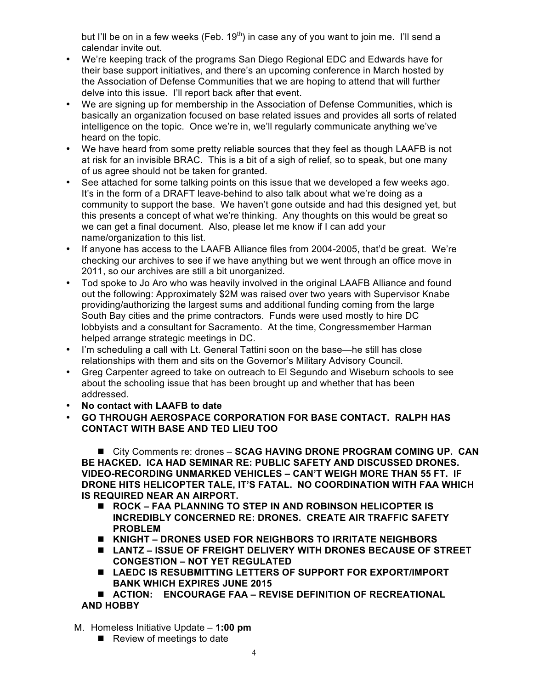but I'll be on in a few weeks (Feb.  $19<sup>th</sup>$ ) in case any of you want to join me. I'll send a calendar invite out.

- We're keeping track of the programs San Diego Regional EDC and Edwards have for their base support initiatives, and there's an upcoming conference in March hosted by the Association of Defense Communities that we are hoping to attend that will further delve into this issue. I'll report back after that event.
- We are signing up for membership in the Association of Defense Communities, which is basically an organization focused on base related issues and provides all sorts of related intelligence on the topic. Once we're in, we'll regularly communicate anything we've heard on the topic.
- We have heard from some pretty reliable sources that they feel as though LAAFB is not at risk for an invisible BRAC. This is a bit of a sigh of relief, so to speak, but one many of us agree should not be taken for granted.
- See attached for some talking points on this issue that we developed a few weeks ago. It's in the form of a DRAFT leave-behind to also talk about what we're doing as a community to support the base. We haven't gone outside and had this designed yet, but this presents a concept of what we're thinking. Any thoughts on this would be great so we can get a final document. Also, please let me know if I can add your name/organization to this list.
- If anyone has access to the LAAFB Alliance files from 2004-2005, that'd be great. We're checking our archives to see if we have anything but we went through an office move in 2011, so our archives are still a bit unorganized.
- Tod spoke to Jo Aro who was heavily involved in the original LAAFB Alliance and found out the following: Approximately \$2M was raised over two years with Supervisor Knabe providing/authorizing the largest sums and additional funding coming from the large South Bay cities and the prime contractors. Funds were used mostly to hire DC lobbyists and a consultant for Sacramento. At the time, Congressmember Harman helped arrange strategic meetings in DC.
- I'm scheduling a call with Lt. General Tattini soon on the base—he still has close relationships with them and sits on the Governor's Military Advisory Council.
- Greg Carpenter agreed to take on outreach to El Segundo and Wiseburn schools to see about the schooling issue that has been brought up and whether that has been addressed.
- **No contact with LAAFB to date**
- **GO THROUGH AEROSPACE CORPORATION FOR BASE CONTACT. RALPH HAS CONTACT WITH BASE AND TED LIEU TOO**

■ City Comments re: drones - **SCAG HAVING DRONE PROGRAM COMING UP. CAN BE HACKED. ICA HAD SEMINAR RE: PUBLIC SAFETY AND DISCUSSED DRONES. VIDEO-RECORDING UNMARKED VEHICLES – CAN'T WEIGH MORE THAN 55 FT. IF DRONE HITS HELICOPTER TALE, IT'S FATAL. NO COORDINATION WITH FAA WHICH IS REQUIRED NEAR AN AIRPORT.**

- ROCK FAA PLANNING TO STEP IN AND ROBINSON HELICOPTER IS **INCREDIBLY CONCERNED RE: DRONES. CREATE AIR TRAFFIC SAFETY PROBLEM**
- KNIGHT DRONES USED FOR NEIGHBORS TO IRRITATE NEIGHBORS
- LANTZ ISSUE OF FREIGHT DELIVERY WITH DRONES BECAUSE OF STREET **CONGESTION – NOT YET REGULATED**
- LAEDC IS RESUBMITTING LETTERS OF SUPPORT FOR EXPORT/IMPORT **BANK WHICH EXPIRES JUNE 2015**

■ ACTION: ENCOURAGE FAA – REVISE DEFINITION OF RECREATIONAL **AND HOBBY**

- M. Homeless Initiative Update **1:00 pm**
	- $\blacksquare$  Review of meetings to date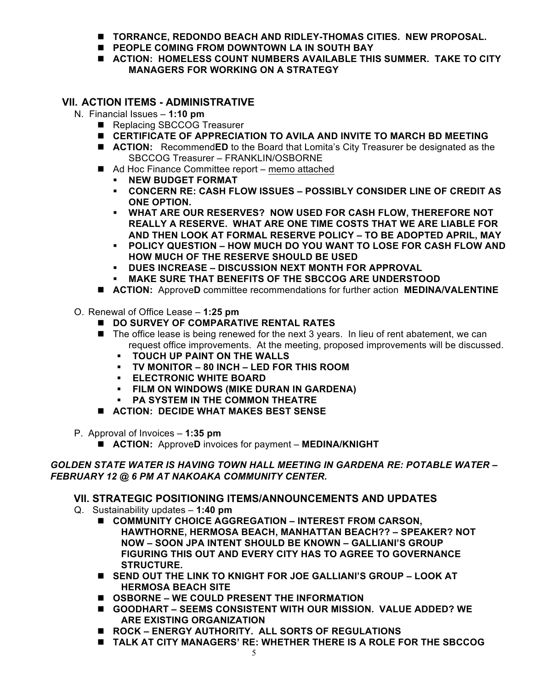- **n** TORRANCE, REDONDO BEACH AND RIDLEY-THOMAS CITIES. NEW PROPOSAL.
- **PEOPLE COMING FROM DOWNTOWN LA IN SOUTH BAY**
- ACTION: HOMELESS COUNT NUMBERS AVAILABLE THIS SUMMER. TAKE TO CITY **MANAGERS FOR WORKING ON A STRATEGY**

#### **VII. ACTION ITEMS - ADMINISTRATIVE**

- N. Financial Issues **1:10 pm**
	- Replacing SBCCOG Treasurer
	- **E** CERTIFICATE OF APPRECIATION TO AVILA AND INVITE TO MARCH BD MEETING
	- **E** ACTION: RecommendED to the Board that Lomita's City Treasurer be designated as the SBCCOG Treasurer – FRANKLIN/OSBORNE
	- Ad Hoc Finance Committee report memo attached
		- § **NEW BUDGET FORMAT**
		- § **CONCERN RE: CASH FLOW ISSUES – POSSIBLY CONSIDER LINE OF CREDIT AS ONE OPTION.**
		- § **WHAT ARE OUR RESERVES? NOW USED FOR CASH FLOW, THEREFORE NOT REALLY A RESERVE. WHAT ARE ONE TIME COSTS THAT WE ARE LIABLE FOR AND THEN LOOK AT FORMAL RESERVE POLICY – TO BE ADOPTED APRIL, MAY**
		- § **POLICY QUESTION – HOW MUCH DO YOU WANT TO LOSE FOR CASH FLOW AND HOW MUCH OF THE RESERVE SHOULD BE USED**
		- § **DUES INCREASE – DISCUSSION NEXT MONTH FOR APPROVAL**
		- § **MAKE SURE THAT BENEFITS OF THE SBCCOG ARE UNDERSTOOD**
	- **ACTION:** ApproveD committee recommendations for further action **MEDINA/VALENTINE**
- O. Renewal of Office Lease **1:25 pm**
	- $\blacksquare$  **DO SURVEY OF COMPARATIVE RENTAL RATES**
	- $\blacksquare$  The office lease is being renewed for the next 3 years. In lieu of rent abatement, we can request office improvements. At the meeting, proposed improvements will be discussed.
		- § **TOUCH UP PAINT ON THE WALLS**
		- § **TV MONITOR – 80 INCH – LED FOR THIS ROOM**
		- § **ELECTRONIC WHITE BOARD**
		- § **FILM ON WINDOWS (MIKE DURAN IN GARDENA)**
		- **E** PA SYSTEM IN THE COMMON THEATRE
	- $\blacksquare$  ACTION: DECIDE WHAT MAKES BEST SENSE
- P. Approval of Invoices **1:35 pm**
	- **ACTION:** ApproveD invoices for payment **MEDINA/KNIGHT**

#### *GOLDEN STATE WATER IS HAVING TOWN HALL MEETING IN GARDENA RE: POTABLE WATER – FEBRUARY 12 @ 6 PM AT NAKOAKA COMMUNITY CENTER.*

#### **VII. STRATEGIC POSITIONING ITEMS/ANNOUNCEMENTS AND UPDATES**

- Q. Sustainability updates **1:40 pm**
	- COMMUNITY CHOICE AGGREGATION INTEREST FROM CARSON, **HAWTHORNE, HERMOSA BEACH, MANHATTAN BEACH?? – SPEAKER? NOT NOW – SOON JPA INTENT SHOULD BE KNOWN – GALLIANI'S GROUP FIGURING THIS OUT AND EVERY CITY HAS TO AGREE TO GOVERNANCE STRUCTURE.**
	- SEND OUT THE LINK TO KNIGHT FOR JOE GALLIANI'S GROUP LOOK AT **HERMOSA BEACH SITE**
	- OSBORNE WE COULD PRESENT THE INFORMATION
	- **GOODHART SEEMS CONSISTENT WITH OUR MISSION. VALUE ADDED? WE ARE EXISTING ORGANIZATION**
	- ROCK **ENERGY AUTHORITY. ALL SORTS OF REGULATIONS**
	- **n** TALK AT CITY MANAGERS' RE: WHETHER THERE IS A ROLE FOR THE SBCCOG